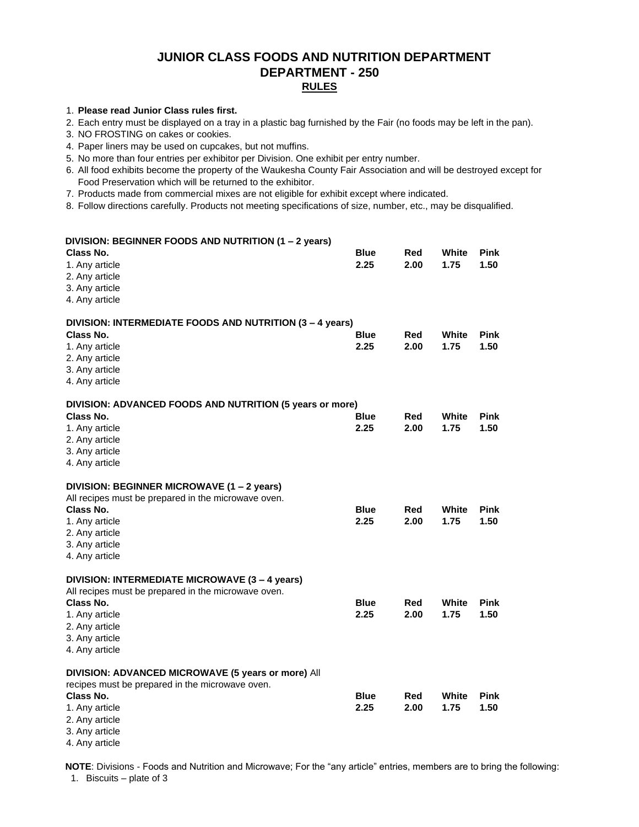## **JUNIOR CLASS FOODS AND NUTRITION DEPARTMENT DEPARTMENT - 250 RULES**

#### 1. **Please read Junior Class rules first.**

2. Each entry must be displayed on a tray in a plastic bag furnished by the Fair (no foods may be left in the pan).

3. NO FROSTING on cakes or cookies.

- 4. Paper liners may be used on cupcakes, but not muffins.
- 5. No more than four entries per exhibitor per Division. One exhibit per entry number.
- 6. All food exhibits become the property of the Waukesha County Fair Association and will be destroyed except for Food Preservation which will be returned to the exhibitor.
- 7. Products made from commercial mixes are not eligible for exhibit except where indicated.

8. Follow directions carefully. Products not meeting specifications of size, number, etc., may be disqualified.

| DIVISION: BEGINNER FOODS AND NUTRITION (1 - 2 years)                                                                                                                                       |                     |             |               |                     |
|--------------------------------------------------------------------------------------------------------------------------------------------------------------------------------------------|---------------------|-------------|---------------|---------------------|
| Class No.<br>1. Any article<br>2. Any article<br>3. Any article<br>4. Any article                                                                                                          | <b>Blue</b><br>2.25 | Red<br>2.00 | White<br>1.75 | <b>Pink</b><br>1.50 |
| DIVISION: INTERMEDIATE FOODS AND NUTRITION (3 - 4 years)<br>Class No.<br>1. Any article<br>2. Any article<br>3. Any article<br>4. Any article                                              | <b>Blue</b><br>2.25 | Red<br>2.00 | White<br>1.75 | <b>Pink</b><br>1.50 |
| DIVISION: ADVANCED FOODS AND NUTRITION (5 years or more)<br>Class No.<br>1. Any article<br>2. Any article<br>3. Any article<br>4. Any article                                              | <b>Blue</b><br>2.25 | Red<br>2.00 | White<br>1.75 | <b>Pink</b><br>1.50 |
| DIVISION: BEGINNER MICROWAVE (1 – 2 years)<br>All recipes must be prepared in the microwave oven.<br>Class No.<br>1. Any article<br>2. Any article<br>3. Any article<br>4. Any article     | <b>Blue</b><br>2.25 | Red<br>2.00 | White<br>1.75 | <b>Pink</b><br>1.50 |
| DIVISION: INTERMEDIATE MICROWAVE (3 - 4 years)<br>All recipes must be prepared in the microwave oven.<br>Class No.<br>1. Any article<br>2. Any article<br>3. Any article<br>4. Any article | <b>Blue</b><br>2.25 | Red<br>2.00 | White<br>1.75 | <b>Pink</b><br>1.50 |
| DIVISION: ADVANCED MICROWAVE (5 years or more) All<br>recipes must be prepared in the microwave oven.<br>Class No.<br>1. Any article<br>2. Any article<br>3. Any article<br>4. Any article | <b>Blue</b><br>2.25 | Red<br>2.00 | White<br>1.75 | <b>Pink</b><br>1.50 |

**NOTE**: Divisions - Foods and Nutrition and Microwave; For the "any article" entries, members are to bring the following: 1. Biscuits – plate of 3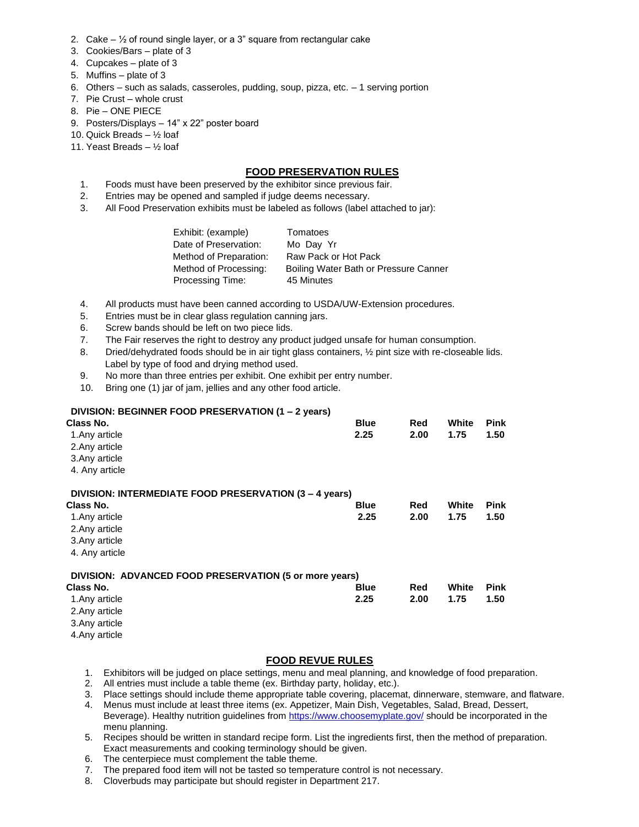- 2. Cake  $-$  1/2 of round single layer, or a 3" square from rectangular cake
- 3. Cookies/Bars plate of 3
- 4. Cupcakes plate of 3
- 5. Muffins plate of 3
- 6. Others such as salads, casseroles, pudding, soup, pizza, etc. 1 serving portion
- 7. Pie Crust whole crust
- 8. Pie ONE PIECE
- 9. Posters/Displays 14" x 22" poster board
- 10. Quick Breads ½ loaf
- 11. Yeast Breads ½ loaf

#### **FOOD PRESERVATION RULES**

- 1. Foods must have been preserved by the exhibitor since previous fair.
- 2. Entries may be opened and sampled if judge deems necessary.
- 3. All Food Preservation exhibits must be labeled as follows (label attached to jar):

- 4. All products must have been canned according to USDA/UW-Extension procedures.
- 5. Entries must be in clear glass regulation canning jars.
- 6. Screw bands should be left on two piece lids.
- 7. The Fair reserves the right to destroy any product judged unsafe for human consumption.
- 8. Dried/dehydrated foods should be in air tight glass containers,  $\frac{1}{2}$  pint size with re-closeable lids. Label by type of food and drying method used.
- 9. No more than three entries per exhibit. One exhibit per entry number.
- 10. Bring one (1) jar of jam, jellies and any other food article.

#### **DIVISION: BEGINNER FOOD PRESERVATION (1 – 2 years)**

| Class No.                                              | <b>Blue</b> | Red  | White | <b>Pink</b> |
|--------------------------------------------------------|-------------|------|-------|-------------|
| 1. Any article                                         | 2.25        | 2.00 | 1.75  | 1.50        |
| 2. Any article                                         |             |      |       |             |
| 3. Any article                                         |             |      |       |             |
| 4. Any article                                         |             |      |       |             |
| DIVISION: INTERMEDIATE FOOD PRESERVATION (3 – 4 years) |             |      |       |             |
| Class No.                                              | <b>Blue</b> | Red  | White | <b>Pink</b> |
| 1. Any article                                         | 2.25        | 2.00 | 1.75  | 1.50        |
| 2. Any article                                         |             |      |       |             |
| 3. Any article                                         |             |      |       |             |
| 4. Any article                                         |             |      |       |             |
| DIVISION: ADVANCED FOOD PRESERVATION (5 or more years) |             |      |       |             |
| Class No.                                              | <b>Blue</b> | Red  | White | <b>Pink</b> |
| 1. Any article                                         | 2.25        | 2.00 | 1.75  | 1.50        |
| 2. Any article                                         |             |      |       |             |
| 3. Any article                                         |             |      |       |             |
| 4. Any article                                         |             |      |       |             |

### **FOOD REVUE RULES**

- 1. Exhibitors will be judged on place settings, menu and meal planning, and knowledge of food preparation.
- 2. All entries must include a table theme (ex. Birthday party, holiday, etc.).
- 3. Place settings should include theme appropriate table covering, placemat, dinnerware, stemware, and flatware.<br>4. Menus must include at least three items (ex. Appetizer, Main Dish, Vegetables, Salad, Bread, Dessert,
- 4. Menus must include at least three items (ex. Appetizer, Main Dish, Vegetables, Salad, Bread, Dessert, Beverage). Healthy nutrition guidelines from<https://www.choosemyplate.gov/> should be incorporated in the menu planning.
- 5. Recipes should be written in standard recipe form. List the ingredients first, then the method of preparation. Exact measurements and cooking terminology should be given.
- 6. The centerpiece must complement the table theme.
- 7. The prepared food item will not be tasted so temperature control is not necessary.
- 8. Cloverbuds may participate but should register in Department 217.